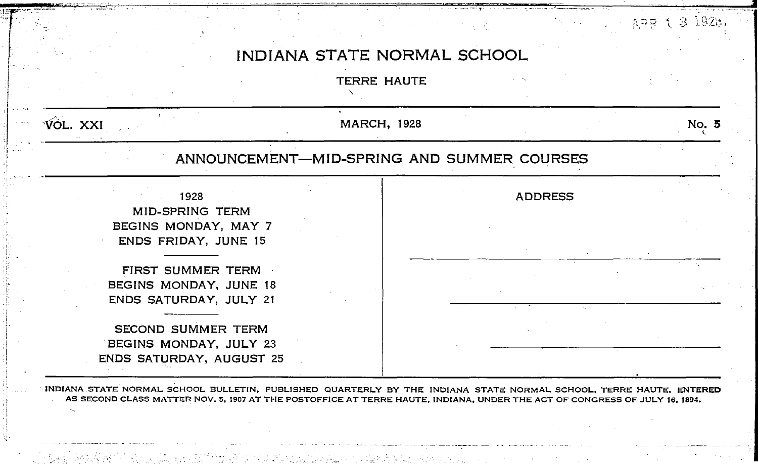x'r·~~-:--·- ~--,, - - \_\_ T \_\_ -.- , • \_. \_ \_ •• \_\_ \_

# ::.~J? ·\ a: l92i~;. I . INDIANA STATE NORMAL SCHOOL

**TERRE HAUTE** 

 $\cdot$ I

,, i.- I !

-::

.!

-~·-



INDIANA STATE NORMAL SCHOOL BULLETIN, PUBLISHED QUARTERLY BY THE INDIANA STATE NORMAL SCHOOL, TERRE HAUTE, ENTERED AS SECOND CLASS MATTER NOV. 5, 1907 AT THE POSTOFFICE AT TERRE HAUTE, INDIANA, UNDER THE ACT OF CONGRESS OF JULY 16, 1894.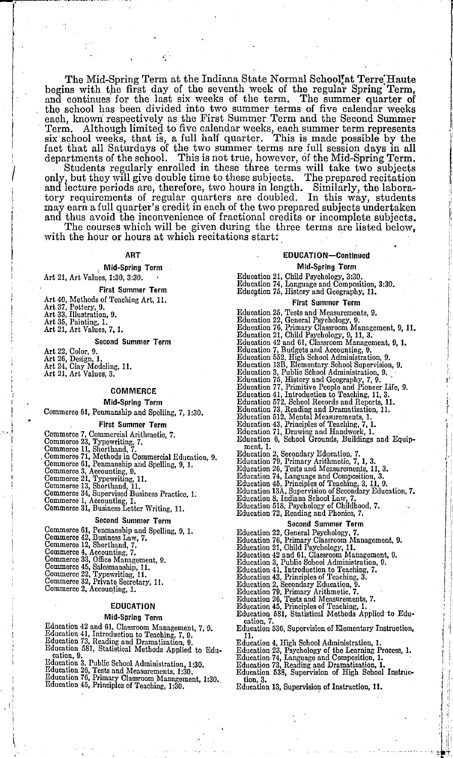The Mid-Spring Term at the Indiana State Normal School'at Terre Haute begins with the first day of the seventh week of the regular Spring Term, and continues for the last six weeks of the term. The summer quarter of the school has been divided into two summer terms of five calendar weeks each, known respectively as the First Summer Term and the Second Summer Term. Although limited to five calendar weeks, each summer term represents Although limited to five calendar weeks, each summer term represents ool weeks, that is, a full half quarter. This is made possible by the six school weeks, that is, a full half quarter. This is made possible by the  $\parallel$ fact that all Saturdays of the two summer terms are full session days in all  $\alpha$  departments of the school. This is not true, however, of the Mid-Spring Term.

Students regularly enrolled in these three terms will take two subjects only, but they will give double time to these subjects. The prepared recitation and iecture periods are, therefore, two hours in length. Similarly, the laboratory requirements of regular quarters are doubled. In this way, students may earn a full quarter's credit in each of the two prepared subjects undertaken  $\frac{1}{2}$ and thus avoid the inconvenience of fractional credits or incomplete subjects.

The courses which will be given during the three terms are listed below, with the hour or hours at which recitations start:

#### ART

#### Mid-Spring Term

Art 21, Art Values, 1:30, 3:30.

First Summer Term

- 
- Art 40, Methods of Teaching Art, 11. Art 37, Pottery, 9. Art 33, Illustration, 9. Art 35, Painting, 1.

-;

- 
- 
- Art 21, Art Values, 7, 1.

Second Summer Term

- 
- Art 22, Color, 9. Art 26, Design, 1. Art 24, Clay Modeling, 11. Art 21, Art Values, 3.
- 

# COMMERCE

# Mid-Spring Term

Commerce 61, Penmanship and Spelling, 7, 1:30.

#### First Summer Term

- 
- Commerce 7, Commercial Arithmetic, 7.<br>Commerce 23, Typewriting, 7.<br>Commerce 11, Shorthand, 7.<br>Commerce 11, Shorthand, 7.<br>Commerce 61, Methods in Commercial Education, 9.<br>Commerce 61, Typewriting, 11.<br>Commerce 23, Typewriti
- 
- 
- 

- 
- 
- 

#### Second Summer Term

- Commerce 61, Penmanship and Spelling, 9, 1. Commerce 42, Business Law, 7, Commerce 12, Shorthand, 7.
- 
- 
- 

' I I,

- Commerce 4, Accounting, 7. Commerce 33, Office Management, 9. Commerce 45, Salesmanship, 11. Commerce 22, Typewriting, 11. Commerce 32, Private Secretary, 11. Commerce 2, Accoun.ting, 1.
- 
- 
- 
- 

#### EDUCATION

#### Mid-Spring Term

- Education 42 and 61, Classroom Management. 7, 9,
- 
- 
- Education 41, Introduction to Teaching, 7, 9.<br>Education 73, Reading and Dramatization, 9.<br>Education 581, Statistical Methods Applied to Education. 9.
- 
- 
- Education 3, Public School Administration, 1:30.<br>Education 26, Tests and Measurements, 1:30.<br>Education 76, Primary Classroom Management, 1:30.<br>Education 45, Principles of Teaching, 1:30.
	-

# EDUCATION-Continued

Mid-Spring Term

- 
- Education 21, Child Psychology, 3:30.<br>Education 74, Language and Composition, 3:30.<br>Education 75, History and Geography, 11.
- 

#### First Summer Term

Education 25, Tests and Measurements, 9.<br>Education 22, General Psychology, 9.<br>Education 76, Primary Classroom Management, 9, 11.<br>Education 21, Child Psychology, 9, 11, 3.<br>Education 42 and 61, Classroom Management, 9, 1.<br>Ed Education 2, Secondary Education, 7.<br>Education 79, Primary Arithmetic, 7, 1, 3.<br>Education 26, Tests and Measurements, 11, 3.<br>Education 74, Language and Composition, 3.<br>Education 46, Principles of Teaching, 3, 11, 9.<br>Educat

- 
- 
- Education 8, Indiana School Law, 7. Education 518, Psychology of Childhood, 7. Education 72, Reading and Phonics, 7.

- 
- 
- 
- 
- 
- 

- 
- 
- 
- 
- 
- Education 536, Supervision of Elementary Instruction,
- 
- 
- 
- 
- Education 538, Supervision of High School Instruc-
- tion, 3.
- Education 13, Supervision of Instruction, 11.
- Second Summer Term<br>
Second Summer Term<br>
Education 22, General Psychology, 7.<br>
Education 21, Child Psychology, 11.<br>
Education 42 and 61, Classroom Management, 9.<br>
Education 43, Public School Administration, 9.<br>
Education 41
- -
	- Education 23, Psychology of the Learning Process, 1.<br>Education 74, Language and Composition, 1.<br>Education 73, Reading and Dramatization, 1.

'

 $\mathbf{1}$  ). r J: :l '.  $+$  11  $\cdot$  =  $\frac{1}{2}$  + ,

I' ' i ł.

- 
- 
- 
- -
- 11.
	- Education 4, High School Administration, 1.
		- -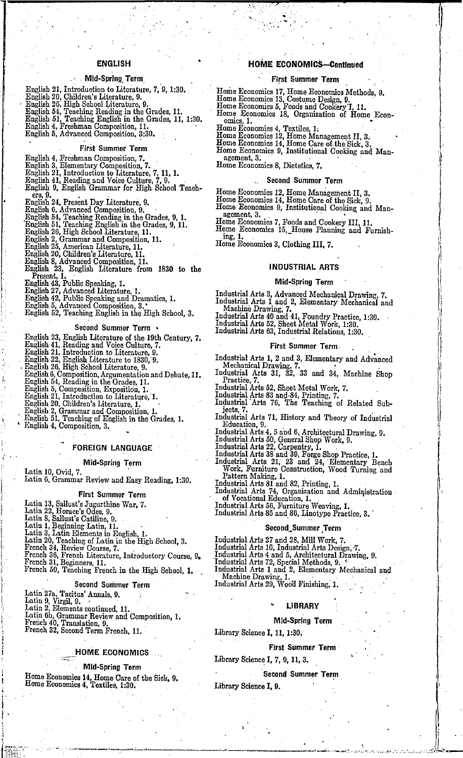# ENGLISH

#### Mid-Spring, Term

- 
- 
- 
- English 21, Introduction to Literature, 7, 9, 1:30.<br>English 20, Children's Literature, 9.<br>English 26, High School Literature, 9.<br>English 54, Teaching Reading in the Grades, 11.<br>English 51, Teaching English in the Grades, 1
- 
- 
- 

### First Summer Term

- 
- 
- 
- 
- English 4, Freshman Composition, 7.<br>English 3, Elementary Composition, 7.<br>English 21, Introduction to Literature, 7, 11, 1.<br>English 21, Introduction to Literature, 7, 9,<br>English 4, English Grammar for High School Teach-English 9, English Grammar for High School Teach-<br>
ers, 9.<br>English 24, Present Day Literature, 9.<br>English 6, Advanced Composition, 9.<br>English 54, Teaching Reading in the Grades, 9, 1.<br>English 54, Teaching English in the Gr
- 
- 
- 
- 
- English 26, High School Literature, 11.<br>English 2, Grammar and Composition, 11.<br>English 25, American Literature, 11.<br>English 20, Children's Literature, 11.<br>English 8, Advanced Composition, 11.
- 
- 
- 
- 
- English 23, English Literature from 1830 to the Present, 1.
- 
- 
- 
- English 43, Public Speaking, 1.<br>English 43, Public Speaking and Dramatics, 1.<br>English 42, Public Speaking and Dramatics, 1.<br>English 5, Advanced Composition, 3.<br>English 52, Teaching English in the High School, 3.
- 

#### Second Summer Term •

- 
- English 23, English Literature of the 19th Century, 7. English 41, Reading and Voice Culture, 7. English 21, Introduction to Literature, 9.
- 
- 
- 
- 
- 
- 
- 
- 
- 
- 
- English 22, English Literature to 1830, 9.<br>English 23, English Literature, 9.<br>English 6, Composition, Argumentation and Debate, 11.<br>English 54, Reading in the Grades, 11.<br>English 5, Composition, Exposition, 1.<br>English 21,

#### FOREIGN LANGUAGE

#### Mid-Spring Term

Latin 10, Ovid, 7.<br>Latin 6, Grammar Review and Easy Reading, 1:30.

#### First Summer Term

Latin 13, Sallust's Jugurthine War, 7.<br>Latin 22, Horace's Odes, 9.<br>Latin 8, Sallust's Catiline, 9.<br>Latin 1, Beginning Latin, 11.<br>Latin 3, Latin Elements in English, 1.<br>Latin 3, Latin Elements in English, 1.

- 
- 

Latin 3, Latin Elements in English, 1.<br>Latin 20, Teaching of Latin in the High School, 3.<br>French 34, Review Course, 7.

- 
- French 36, French Literature, Introductory Course, 9. French 31, Beginners, 11. French 50, Teaching French in the High School, 1.

#### Second Summer Term

- 
- 

 $\mathbf{I}$  .

Latin.27a; Tacitus' Annals, 9. Latin 9, Virgil, 9. · Latin 2, Elements continued, 11. Latin 6b, Grammar Review .and Composition, 1. French 40, Translation, 9. French 32, Second Term French, 11.

# HOME ECONOMICS

Mid-Spring Term

Home Economics 14, Home Care of the Sick, 9. Home Eoonomics 4, Textiles, 1:30.

# HOME ECONOMICS-Continued

*.)* 

#### First Summer Term

- 
- Home Economics 17, Home Economics Methods, 9.<br>Home Economics 13, Costume Design, 9.<br>Home Economics 5, Foods and Cookery I, 11.

..

- 
- Home Economics 18, Organization of Home Econ- omics, 1.
- 

- 
- Home Economics 4, Textiles, 1:<br>
Home Economics 12, Home Management II, 3.<br>
Home Economics 14, Home Cane of. the. Sick, 3.<br>
Home Economics 9, Institutional Cooking and Man-<br>
agement, 3.<br>
Home Economics 8, Dietetics, 7.
- 

# Second Summer Term

- 
- Home Economics 12, Home Management II, 3.<br>Home Economics 14, Home Care of the Sick, 9.<br>Home Economics 9, Institutional Cooking and Man-<br>agement, 3.
- 
- Home Economics 7, Foods and Cookery III, 11. H?me Economics 15,\_House Planning and Furnish- mg. 1. . Home Economics 3, Clothing III, 7.

#### INDUSTRIAL ARTS

#### Mid-Spring Term

Industrial Arts 3, Advanced Mechanical Drawing, 7.<br>Industrial Arts 1 and 2, Elementary Mechanical and<br>Machine Drawing, 7.

Industrial Arts 4 and 4, Elementary Practiceal<br>Machine Drawing, 7.<br>Industrial Arts 40 and 41, Foundry Practice, 1:30.<br>Industrial Arts 63, Sheet Metal Work, 1:30.<br>Industrial Arts 63, Industrial Relations, 1:30.

#### First Summer Term.

Industrial Arts 1, 2 and 3, Elementary and Advanced Mechanical Drawing, 7.

- Industrial Arts 31, 32, 33 and 34, Machine Shop Practice, 7.
- Industrial Arts 52, Sheet Metal Work, 7. Industrial Arts 83 and-84, Printing, 7.
- 
- Industrial Arts 76, The Teaching of Related Sub-<br>jects, 7.
- Industrial Arts 71, History and Theory of Industrial Education, 9.

Industrial Arts 4, 5 and 6, Architectural Drawing, 9.<br>Industrial Arts 50, General Shop Work, 9.<br>Industrial Arts 22, Carpentry, 1.<br>Industrial Arts 22, Carpentry, 1.<br>Industrial Arts 23, 23 and 24, Elementary Bench<br>Industrial

Second\_Summer Term

Industrial Arts 1 and 2, Elementary Mechanical and<br>- Machine Drawing, 1.<br>Industrial Arts 29, Wood Finishing, 1.

**LIBRARY** Mid-Spring Term

First Summer Term

,·

'

|<br>|-<br>|<br>|

 $\mathbb{L}$  .

Second Summer Term

Library Science I, 11, 1:30.

Library Science I, 7, 9, 11, 3.

Library Science I, 9.

Industrial Arts 27 and 28, Mill Work, 7.<br>Industrial Arts 10, Industrial Arts Design, 7.<br>Industrial Arts 4 and 5, Architectural Drawing, 9.<br>'Industrial Arts 72, Special Methods, 9. '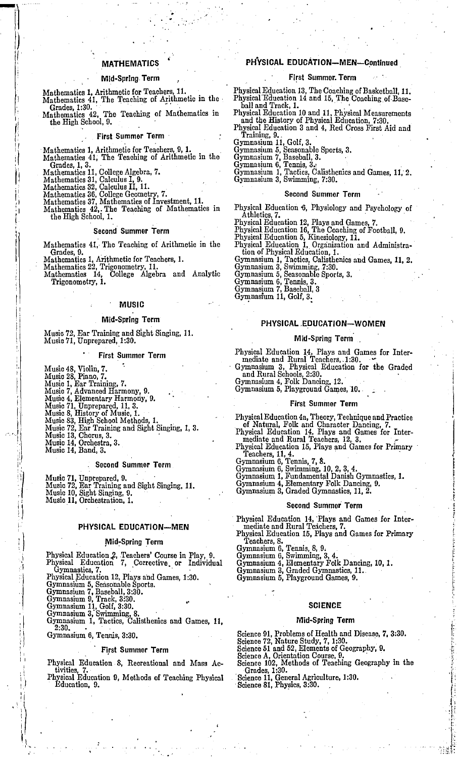# **MATHEMATICS**

# Mid-Spring Term

- Mathematics 1, Arithmetic for Teachers, 11.<br>Mathematics 41, The Teaching of Arithmetic in the
- Mathematics 31.1.1 The Ecology of Mathematics in<br>Mathematics 42, The Teaching of Mathematics in<br>the High School, 9.

#### First Summer Term

- 
- Mathematics 1, Arithmetic for Teachers, 9, 1.<br>Mathematics 41, The Teaching of Arithmetic in the Grades, 1, 3.
- Mathematics 11, College Algebra, 7.
- 
- 
- 
- 
- Mathematics 31, Calculus I, 9,<br>Mathematics 32, Calculus I, 9,<br>Mathematics 32, Calculus II, 11.<br>Mathematics 36, College Geometry, 7.<br>Mathematics 37, Mathematics of Investment, 11.<br>Mathematics 42,. The Teaching of Mathematic

#### Second Summer Term

Mathematics 41, The Teaching of Arithmetic in the Grades, 9.

Mathematics 1, Arithmetic for Teachers, 1.

Examinements 1, Arithmetic for Teachers, 1.<br>Mathematics 22, Trigonometry, 11.<br>Mathematics 14, College Algebra and Analytic<br>Trigonometry, 1.

#### MUSIC

#### **Mid-Spring Term**

Music 72, Ear Training and Sight Singing, 11. Music 71, Unprepared, 1:30.

#### **First Summer Term**

Music 48, Violin, 7.<br>
Music 48, Violin, 7.<br>
Music 28, Piano, 7.<br>
Music 7. Advanced Harmony, 9.<br>
Music 4, Elementary Harmony, 9.<br>
Music 41, Unprepared, 11, 3.<br>
Music 8, History of Music, 1.<br>
Music 83, High School Methods, 1

#### Second Summer Term

Music 71, Unprepared, 9,<br>Music 72, Ear Training and Sight Singing, 11,<br>Music 10, Sight Singing, 9,<br> Music 11, Orchestration, 1,

#### PHYSICAL EDUCATION-MEN

#### Mid-Spring Term

Physical Education 2, Teachers' Course in Play, 9.<br>Physical Education 7, Corrective or Individual Gymnastics, 7.

Uymnastics, 7.<br>Physical Education 12, Plays and Games, 1:30.<br>Gymnasium 5, Seasonable Sports.<br>Gymnasium 7, Baseball, 3:30.<br>Gymnasium 9, Track, 3:30.<br>Gymnasium 11, Golf, 3:30.<br>Gymnasium 1, Tactics, Calisthenics and Games, 11

Gymnasium 6, Tennis, 3:30.

#### **First Summer Term**

Physical Education 8. Recreational and Mass Activities, 7.<br>Physical Education 9, Methods of Teaching Physical

Education, 9.

# PHYSICAL EDUCATION-MEN-Continued

### First Summer. Term

- Physical Education 13, The Coaching of Basketball, 11.<br>Physical Education 14 and 15, The Coaching of Basehall and Track, 1.
- Physical Education 10 and 11, Physical Measurements<br>and the History of Physical Education, 7:30, Physical Education 3 and 4, Red Cross First Aid and
- Training, 9.
- 
- 
- 
- Training, 9.<br>
Gymnasium 11, Golf, 3.<br>
Gymnasium 5, Seasobable Sports, 3.<br>
Gymnasium 7, Baseball, 3.<br>
Gymnasium 6, Tennis, 3.<br>
Gymnasium 1, Tactics, Calisthenics and Games, 11, 2.<br>
Gymnasium 3, Swimming, 7:30.
	-

### Second Summer Term

Physical Education 6, Physiology and rsycnology of the<br>letter, 7. Holetics, 7. They and Games, 7. Physical Education 12, Plays and Games, 7. Physical Education 16, The Coaching of Football, 9. Physical Education 1, Organiz Physical Education 6, Physiology and Psychology of

- 
- 
- 
- 
- 
- 
- 
- 

#### PHYSICAL EDUCATION-WOMEN

#### Mid-Spring Term

Physical Education 14, Plays and Games for Intermediate and Rural Teachers, 1:30.<br>Gymnasium 3, Physical Education for the Graded<br>and Rural Schools, 2:30.<br>Gymnasium 4, Folk Dancing, 12.<br>Gymnasium 5, Playground Games, 10.

#### **First Summer Term**

Physical Education 4a, Theory, Technique and Practice<br>of Natural, Folk and Character Dancing, 7.<br>Physical Education 14, Plays and Games for Inter-<br>mediate and Rural Teachers, 12, 3.

mediate and Rural Teachers, 12, 3.<br>
Physical Education 15, Plays and Games for Primary<br>
Teachers, 11, 4.<br>
Gymnasium 6, Tennis, 7, 8.<br>
Gymnasium 6, Swimming, 10, 2, 3, 4.<br>
Gymnasium 1, Fundamental Danish Gymnastics, 1.<br>
Gym

#### Second Summer Term

Physical Education 14, Plays and Games for Intermediate and Rural Teachers, 7.<br>Physical Education 15, Plays and Games for Primary

Finyster Lucientian 19, 1 mys and Gamles 10, 11<br>Gymnasium 6, Tennis, 8, 9,<br>Gymnasium 6, Swimming, 3, 4,<br>Gymnasium 4, Elementary Folk Dancing, 10, 1.<br>Gymnasium 4, Elementary Folk Dancing, 10, 1.<br>Gymnasium 5, Playground Game

#### **SCIENCE**

#### Mid-Spring Term

Science 91, Problems of Health and Disease, 7, 3:30.<br>Science 72, Nature Study, 7, 1:30.<br>Science 51 and 52, Elements of Geography, 9.<br>Science A, Orientation Course, 9.<br>Science A, Orientation Course, 9.<br>Science 102, Methods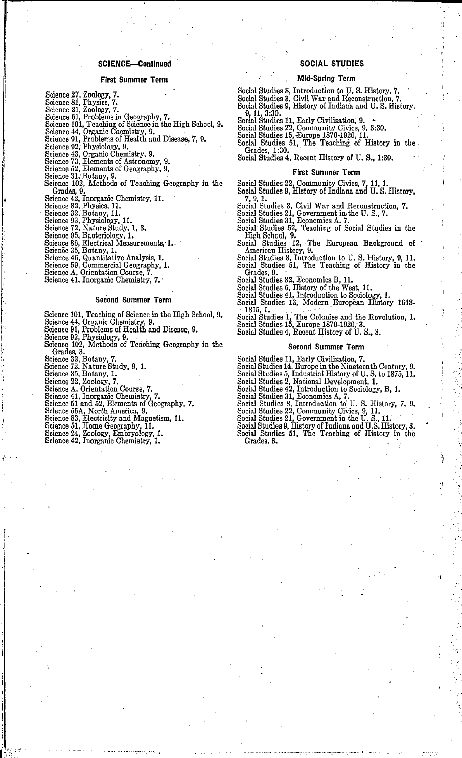#### SCIENCE-Continued

#### First Summer Term

- 
- 
- 
- 
- 

- 
- 
- 
- Science 27, Zoologr, 7.<br>
Science 21, Zoologr, 7.<br>
Science 81, Physies, 7.<br>
Science 81, Physlems in Geography, 7.<br>
Science 101, Teaching of Science in the High School, 9.<br>
Science 101, Teaching of Science in the High School Grades, 9.<br>
Genese 42, Inorganic Chemistry, 11.<br>
Science 32, Brysies, 11.<br>
Science 32, Brotany, 11.<br>
Science 93, Physiology, 11.<br>
Science 93, Physiology, 11.<br>
Science 95, Bacteriology, 1.<br>
Science 86, Bectrical Measurement
- 
- 

- 
- 
- 
- 
- 
- 
- 
- 

#### Second Summer Term

- 
- 
- 
- 
- Science 101, Teaching of Science in the High School, 9. Science 44, Organic Chemistry, 9. Science 91, Problems of Health and Disease, 9. Science 92, Physiology, 9. Science 102, Methods of Teaching Geography in the Grades, 3.<br>
Geience 32, Botany, 7.<br>
Science 32, Botany, 1.<br>
Science 35, Botany, 1.<br>
Science 22, Zoology, 7.<br>
Science 22, Zoology, 7.<br>
Science 41, Inorganic Chemistry, 7.<br>
Science 51 and 52, Elements of Geography, 7.<br>
Scien
- 
- 
- 
- 

i .i

- 
- 
- 
- 
- 
- 
- 
- 

#### SOCIAL STUDIES

#### Mid-Spring Term

Social Studies 8, Introduction to U.S. History, 7. Social Studies 3, Civil War and R:econstruction, 7.

- Social Studies 9, History of Indiana and U.S. History.<br> $9, 11, 3:30$ .
- 
- 
- 
- Social Studies 21, Early Civilization, 9.<br>Social Studies 22, Community Civics, 9, 3:30.<br>Social Studies 15, <del>D</del>urope 1870-1920, 11.<br>Social Studies 51, The Teaching of History in the Grades, 1:30. Social Studies 4, Recent History of U.S., 1:30.
	-

#### First Summer Term

- 
- Social Studies 22, Community Civics, 7, 11, 1.<br>Social Studies 9, History of Indiana and U.S. History. Social Studies 9, History of Indiana and U.S. History,<br>7, 9, 1.<br>Social Studies 3, Civil War and Reconstruction, 7.<br>Social Studies 31, Government in the U.S., 7.<br>Social Studies 31, Economics A, 7.<br>Social Studies 32, Teachin
- 
- 

- 
- 
- High School, 9. Social Studies 12, ·The European Background of American History, 9. Social Studies 8, Introduction to U. S. History, 9, 11. Social Studies 51, The Teaching of History in the Grades, 9.
- 
- 
- 
- Social Studies 32, Economics B, 11. Social Studies 6, History of the West, 11. Social Studies 41, Introduction to Sociology, 1. Social Studies 13, Modern European History 1648-

1815, 1. . - . .. . - Social Studies 1, The Colonies and the Revolution, 1. Social Studies 15, Europe 1870-1920, 3. Social Studies 4, Recent History of U. S., 3.

#### Second Summer Term

- 
- 
- 
- 
- 
- 
- 
- 
- 
- Social Studies 11, Early Civilization, 7.<br>Social Studies 14, Europe in the Nineteenth Century, 9.<br>Social Studies 5, Industrial History of U.S. to 1875, 11.<br>Social Studies 2, National Development, 1.<br>Social Studies 42, Intr Gradea, 3.

Ń.